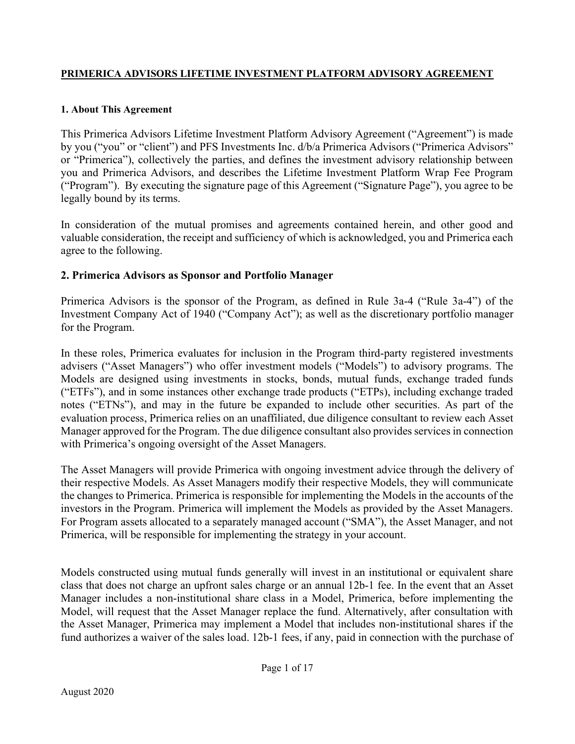#### PRIMERICA ADVISORS LIFETIME INVESTMENT PLATFORM ADVISORY AGREEMENT

### 1. About This Agreement

This Primerica Advisors Lifetime Investment Platform Advisory Agreement ("Agreement") is made by you ("you" or "client") and PFS Investments Inc. d/b/a Primerica Advisors ("Primerica Advisors" or "Primerica"), collectively the parties, and defines the investment advisory relationship between you and Primerica Advisors, and describes the Lifetime Investment Platform Wrap Fee Program ("Program"). By executing the signature page of this Agreement ("Signature Page"), you agree to be legally bound by its terms.

In consideration of the mutual promises and agreements contained herein, and other good and valuable consideration, the receipt and sufficiency of which is acknowledged, you and Primerica each agree to the following.

# 2. Primerica Advisors as Sponsor and Portfolio Manager

Primerica Advisors is the sponsor of the Program, as defined in Rule 3a-4 ("Rule 3a-4") of the Investment Company Act of 1940 ("Company Act"); as well as the discretionary portfolio manager for the Program.

In these roles, Primerica evaluates for inclusion in the Program third-party registered investments advisers ("Asset Managers") who offer investment models ("Models") to advisory programs. The Models are designed using investments in stocks, bonds, mutual funds, exchange traded funds ("ETFs"), and in some instances other exchange trade products ("ETPs), including exchange traded notes ("ETNs"), and may in the future be expanded to include other securities. As part of the evaluation process, Primerica relies on an unaffiliated, due diligence consultant to review each Asset Manager approved for the Program. The due diligence consultant also provides services in connection with Primerica's ongoing oversight of the Asset Managers.

The Asset Managers will provide Primerica with ongoing investment advice through the delivery of their respective Models. As Asset Managers modify their respective Models, they will communicate the changes to Primerica. Primerica is responsible for implementing the Models in the accounts of the investors in the Program. Primerica will implement the Models as provided by the Asset Managers. For Program assets allocated to a separately managed account ("SMA"), the Asset Manager, and not Primerica, will be responsible for implementing the strategy in your account.

Models constructed using mutual funds generally will invest in an institutional or equivalent share class that does not charge an upfront sales charge or an annual 12b-1 fee. In the event that an Asset Manager includes a non-institutional share class in a Model, Primerica, before implementing the Model, will request that the Asset Manager replace the fund. Alternatively, after consultation with the Asset Manager, Primerica may implement a Model that includes non-institutional shares if the fund authorizes a waiver of the sales load. 12b-1 fees, if any, paid in connection with the purchase of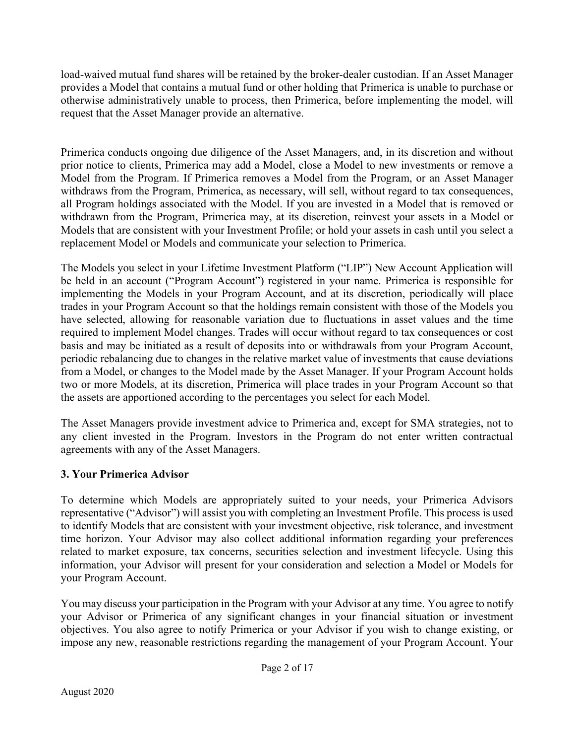load-waived mutual fund shares will be retained by the broker-dealer custodian. If an Asset Manager provides a Model that contains a mutual fund or other holding that Primerica is unable to purchase or otherwise administratively unable to process, then Primerica, before implementing the model, will request that the Asset Manager provide an alternative.

Primerica conducts ongoing due diligence of the Asset Managers, and, in its discretion and without prior notice to clients, Primerica may add a Model, close a Model to new investments or remove a Model from the Program. If Primerica removes a Model from the Program, or an Asset Manager withdraws from the Program, Primerica, as necessary, will sell, without regard to tax consequences, all Program holdings associated with the Model. If you are invested in a Model that is removed or withdrawn from the Program, Primerica may, at its discretion, reinvest your assets in a Model or Models that are consistent with your Investment Profile; or hold your assets in cash until you select a replacement Model or Models and communicate your selection to Primerica.

The Models you select in your Lifetime Investment Platform ("LIP") New Account Application will be held in an account ("Program Account") registered in your name. Primerica is responsible for implementing the Models in your Program Account, and at its discretion, periodically will place trades in your Program Account so that the holdings remain consistent with those of the Models you have selected, allowing for reasonable variation due to fluctuations in asset values and the time required to implement Model changes. Trades will occur without regard to tax consequences or cost basis and may be initiated as a result of deposits into or withdrawals from your Program Account, periodic rebalancing due to changes in the relative market value of investments that cause deviations from a Model, or changes to the Model made by the Asset Manager. If your Program Account holds two or more Models, at its discretion, Primerica will place trades in your Program Account so that the assets are apportioned according to the percentages you select for each Model.

The Asset Managers provide investment advice to Primerica and, except for SMA strategies, not to any client invested in the Program. Investors in the Program do not enter written contractual agreements with any of the Asset Managers.

### 3. Your Primerica Advisor

To determine which Models are appropriately suited to your needs, your Primerica Advisors representative ("Advisor") will assist you with completing an Investment Profile. This process is used to identify Models that are consistent with your investment objective, risk tolerance, and investment time horizon. Your Advisor may also collect additional information regarding your preferences related to market exposure, tax concerns, securities selection and investment lifecycle. Using this information, your Advisor will present for your consideration and selection a Model or Models for your Program Account.

You may discuss your participation in the Program with your Advisor at any time. You agree to notify your Advisor or Primerica of any significant changes in your financial situation or investment objectives. You also agree to notify Primerica or your Advisor if you wish to change existing, or impose any new, reasonable restrictions regarding the management of your Program Account. Your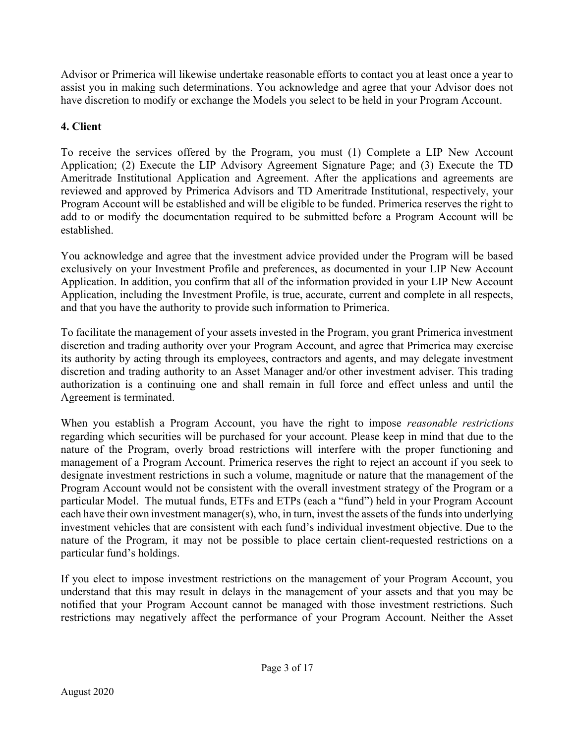Advisor or Primerica will likewise undertake reasonable efforts to contact you at least once a year to assist you in making such determinations. You acknowledge and agree that your Advisor does not have discretion to modify or exchange the Models you select to be held in your Program Account.

# 4. Client

To receive the services offered by the Program, you must (1) Complete a LIP New Account Application; (2) Execute the LIP Advisory Agreement Signature Page; and (3) Execute the TD Ameritrade Institutional Application and Agreement. After the applications and agreements are reviewed and approved by Primerica Advisors and TD Ameritrade Institutional, respectively, your Program Account will be established and will be eligible to be funded. Primerica reserves the right to add to or modify the documentation required to be submitted before a Program Account will be established.

You acknowledge and agree that the investment advice provided under the Program will be based exclusively on your Investment Profile and preferences, as documented in your LIP New Account Application. In addition, you confirm that all of the information provided in your LIP New Account Application, including the Investment Profile, is true, accurate, current and complete in all respects, and that you have the authority to provide such information to Primerica.

To facilitate the management of your assets invested in the Program, you grant Primerica investment discretion and trading authority over your Program Account, and agree that Primerica may exercise its authority by acting through its employees, contractors and agents, and may delegate investment discretion and trading authority to an Asset Manager and/or other investment adviser. This trading authorization is a continuing one and shall remain in full force and effect unless and until the Agreement is terminated.

When you establish a Program Account, you have the right to impose *reasonable restrictions* regarding which securities will be purchased for your account. Please keep in mind that due to the nature of the Program, overly broad restrictions will interfere with the proper functioning and management of a Program Account. Primerica reserves the right to reject an account if you seek to designate investment restrictions in such a volume, magnitude or nature that the management of the Program Account would not be consistent with the overall investment strategy of the Program or a particular Model. The mutual funds, ETFs and ETPs (each a "fund") held in your Program Account each have their own investment manager(s), who, in turn, invest the assets of the funds into underlying investment vehicles that are consistent with each fund's individual investment objective. Due to the nature of the Program, it may not be possible to place certain client-requested restrictions on a particular fund's holdings.

If you elect to impose investment restrictions on the management of your Program Account, you understand that this may result in delays in the management of your assets and that you may be notified that your Program Account cannot be managed with those investment restrictions. Such restrictions may negatively affect the performance of your Program Account. Neither the Asset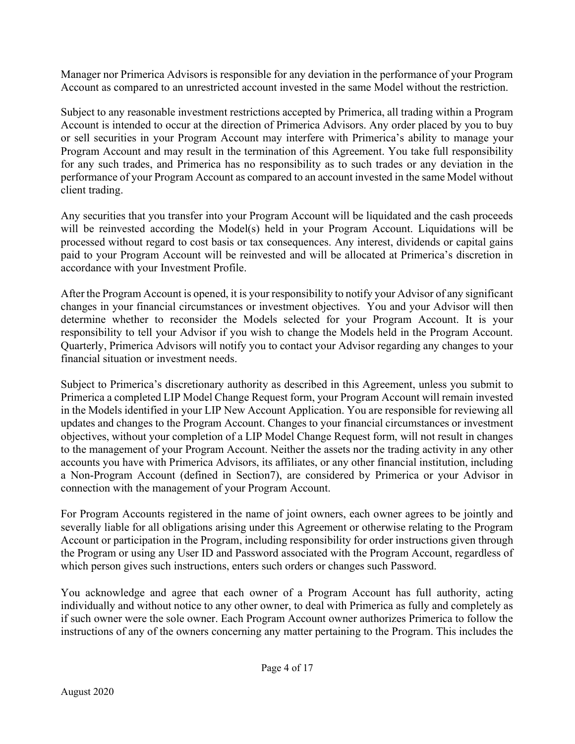Manager nor Primerica Advisors is responsible for any deviation in the performance of your Program Account as compared to an unrestricted account invested in the same Model without the restriction.

Subject to any reasonable investment restrictions accepted by Primerica, all trading within a Program Account is intended to occur at the direction of Primerica Advisors. Any order placed by you to buy or sell securities in your Program Account may interfere with Primerica's ability to manage your Program Account and may result in the termination of this Agreement. You take full responsibility for any such trades, and Primerica has no responsibility as to such trades or any deviation in the performance of your Program Account as compared to an account invested in the same Model without client trading.

Any securities that you transfer into your Program Account will be liquidated and the cash proceeds will be reinvested according the Model(s) held in your Program Account. Liquidations will be processed without regard to cost basis or tax consequences. Any interest, dividends or capital gains paid to your Program Account will be reinvested and will be allocated at Primerica's discretion in accordance with your Investment Profile.

After the Program Account is opened, it is your responsibility to notify your Advisor of any significant changes in your financial circumstances or investment objectives. You and your Advisor will then determine whether to reconsider the Models selected for your Program Account. It is your responsibility to tell your Advisor if you wish to change the Models held in the Program Account. Quarterly, Primerica Advisors will notify you to contact your Advisor regarding any changes to your financial situation or investment needs.

Subject to Primerica's discretionary authority as described in this Agreement, unless you submit to Primerica a completed LIP Model Change Request form, your Program Account will remain invested in the Models identified in your LIP New Account Application. You are responsible for reviewing all updates and changes to the Program Account. Changes to your financial circumstances or investment objectives, without your completion of a LIP Model Change Request form, will not result in changes to the management of your Program Account. Neither the assets nor the trading activity in any other accounts you have with Primerica Advisors, its affiliates, or any other financial institution, including a Non-Program Account (defined in Section7), are considered by Primerica or your Advisor in connection with the management of your Program Account.

For Program Accounts registered in the name of joint owners, each owner agrees to be jointly and severally liable for all obligations arising under this Agreement or otherwise relating to the Program Account or participation in the Program, including responsibility for order instructions given through the Program or using any User ID and Password associated with the Program Account, regardless of which person gives such instructions, enters such orders or changes such Password.

You acknowledge and agree that each owner of a Program Account has full authority, acting individually and without notice to any other owner, to deal with Primerica as fully and completely as if such owner were the sole owner. Each Program Account owner authorizes Primerica to follow the instructions of any of the owners concerning any matter pertaining to the Program. This includes the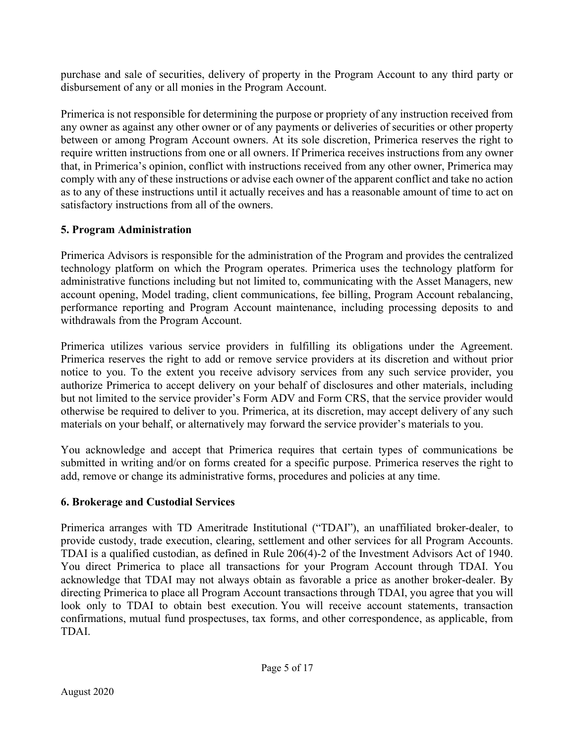purchase and sale of securities, delivery of property in the Program Account to any third party or disbursement of any or all monies in the Program Account.

Primerica is not responsible for determining the purpose or propriety of any instruction received from any owner as against any other owner or of any payments or deliveries of securities or other property between or among Program Account owners. At its sole discretion, Primerica reserves the right to require written instructions from one or all owners. If Primerica receives instructions from any owner that, in Primerica's opinion, conflict with instructions received from any other owner, Primerica may comply with any of these instructions or advise each owner of the apparent conflict and take no action as to any of these instructions until it actually receives and has a reasonable amount of time to act on satisfactory instructions from all of the owners.

# 5. Program Administration

Primerica Advisors is responsible for the administration of the Program and provides the centralized technology platform on which the Program operates. Primerica uses the technology platform for administrative functions including but not limited to, communicating with the Asset Managers, new account opening, Model trading, client communications, fee billing, Program Account rebalancing, performance reporting and Program Account maintenance, including processing deposits to and withdrawals from the Program Account.

Primerica utilizes various service providers in fulfilling its obligations under the Agreement. Primerica reserves the right to add or remove service providers at its discretion and without prior notice to you. To the extent you receive advisory services from any such service provider, you authorize Primerica to accept delivery on your behalf of disclosures and other materials, including but not limited to the service provider's Form ADV and Form CRS, that the service provider would otherwise be required to deliver to you. Primerica, at its discretion, may accept delivery of any such materials on your behalf, or alternatively may forward the service provider's materials to you.

You acknowledge and accept that Primerica requires that certain types of communications be submitted in writing and/or on forms created for a specific purpose. Primerica reserves the right to add, remove or change its administrative forms, procedures and policies at any time.

# 6. Brokerage and Custodial Services

Primerica arranges with TD Ameritrade Institutional ("TDAI"), an unaffiliated broker-dealer, to provide custody, trade execution, clearing, settlement and other services for all Program Accounts. TDAI is a qualified custodian, as defined in Rule 206(4)-2 of the Investment Advisors Act of 1940. You direct Primerica to place all transactions for your Program Account through TDAI. You acknowledge that TDAI may not always obtain as favorable a price as another broker-dealer. By directing Primerica to place all Program Account transactions through TDAI, you agree that you will look only to TDAI to obtain best execution. You will receive account statements, transaction confirmations, mutual fund prospectuses, tax forms, and other correspondence, as applicable, from TDAI.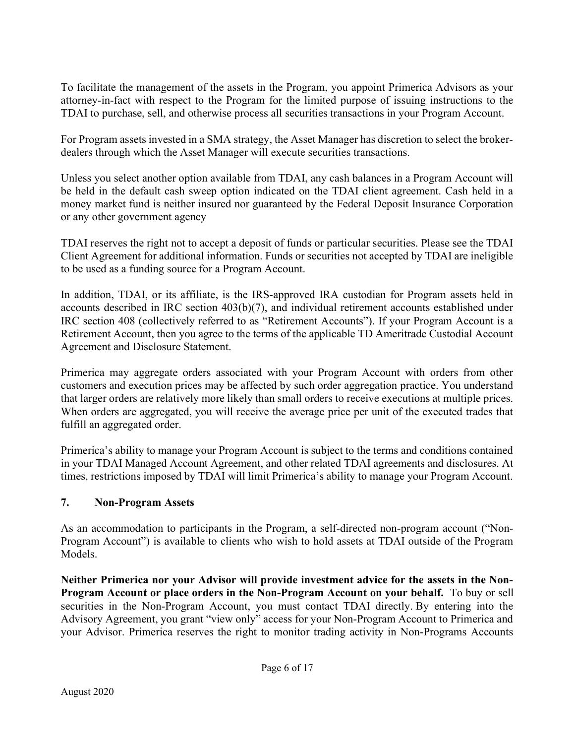To facilitate the management of the assets in the Program, you appoint Primerica Advisors as your attorney-in-fact with respect to the Program for the limited purpose of issuing instructions to the TDAI to purchase, sell, and otherwise process all securities transactions in your Program Account.

For Program assets invested in a SMA strategy, the Asset Manager has discretion to select the brokerdealers through which the Asset Manager will execute securities transactions.

Unless you select another option available from TDAI, any cash balances in a Program Account will be held in the default cash sweep option indicated on the TDAI client agreement. Cash held in a money market fund is neither insured nor guaranteed by the Federal Deposit Insurance Corporation or any other government agency

TDAI reserves the right not to accept a deposit of funds or particular securities. Please see the TDAI Client Agreement for additional information. Funds or securities not accepted by TDAI are ineligible to be used as a funding source for a Program Account.

In addition, TDAI, or its affiliate, is the IRS-approved IRA custodian for Program assets held in accounts described in IRC section 403(b)(7), and individual retirement accounts established under IRC section 408 (collectively referred to as "Retirement Accounts"). If your Program Account is a Retirement Account, then you agree to the terms of the applicable TD Ameritrade Custodial Account Agreement and Disclosure Statement.

Primerica may aggregate orders associated with your Program Account with orders from other customers and execution prices may be affected by such order aggregation practice. You understand that larger orders are relatively more likely than small orders to receive executions at multiple prices. When orders are aggregated, you will receive the average price per unit of the executed trades that fulfill an aggregated order.

Primerica's ability to manage your Program Account is subject to the terms and conditions contained in your TDAI Managed Account Agreement, and other related TDAI agreements and disclosures. At times, restrictions imposed by TDAI will limit Primerica's ability to manage your Program Account.

### 7. Non-Program Assets

As an accommodation to participants in the Program, a self-directed non-program account ("Non-Program Account") is available to clients who wish to hold assets at TDAI outside of the Program Models.

Neither Primerica nor your Advisor will provide investment advice for the assets in the Non-Program Account or place orders in the Non-Program Account on your behalf. To buy or sell securities in the Non-Program Account, you must contact TDAI directly. By entering into the Advisory Agreement, you grant "view only" access for your Non-Program Account to Primerica and your Advisor. Primerica reserves the right to monitor trading activity in Non-Programs Accounts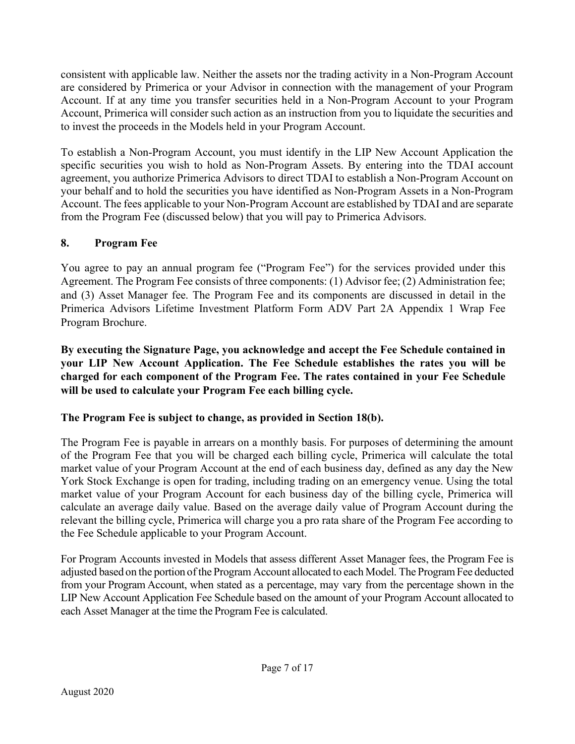consistent with applicable law. Neither the assets nor the trading activity in a Non-Program Account are considered by Primerica or your Advisor in connection with the management of your Program Account. If at any time you transfer securities held in a Non-Program Account to your Program Account, Primerica will consider such action as an instruction from you to liquidate the securities and to invest the proceeds in the Models held in your Program Account.

To establish a Non-Program Account, you must identify in the LIP New Account Application the specific securities you wish to hold as Non-Program Assets. By entering into the TDAI account agreement, you authorize Primerica Advisors to direct TDAI to establish a Non-Program Account on your behalf and to hold the securities you have identified as Non-Program Assets in a Non-Program Account. The fees applicable to your Non-Program Account are established by TDAI and are separate from the Program Fee (discussed below) that you will pay to Primerica Advisors.

# 8. Program Fee

You agree to pay an annual program fee ("Program Fee") for the services provided under this Agreement. The Program Fee consists of three components: (1) Advisor fee; (2) Administration fee; and (3) Asset Manager fee. The Program Fee and its components are discussed in detail in the Primerica Advisors Lifetime Investment Platform Form ADV Part 2A Appendix 1 Wrap Fee Program Brochure.

By executing the Signature Page, you acknowledge and accept the Fee Schedule contained in your LIP New Account Application. The Fee Schedule establishes the rates you will be charged for each component of the Program Fee. The rates contained in your Fee Schedule will be used to calculate your Program Fee each billing cycle.

# The Program Fee is subject to change, as provided in Section 18(b).

The Program Fee is payable in arrears on a monthly basis. For purposes of determining the amount of the Program Fee that you will be charged each billing cycle, Primerica will calculate the total market value of your Program Account at the end of each business day, defined as any day the New York Stock Exchange is open for trading, including trading on an emergency venue. Using the total market value of your Program Account for each business day of the billing cycle, Primerica will calculate an average daily value. Based on the average daily value of Program Account during the relevant the billing cycle, Primerica will charge you a pro rata share of the Program Fee according to the Fee Schedule applicable to your Program Account.

For Program Accounts invested in Models that assess different Asset Manager fees, the Program Fee is adjusted based on the portion of the Program Account allocated to each Model. The Program Fee deducted from your Program Account, when stated as a percentage, may vary from the percentage shown in the LIP New Account Application Fee Schedule based on the amount of your Program Account allocated to each Asset Manager at the time the Program Fee is calculated.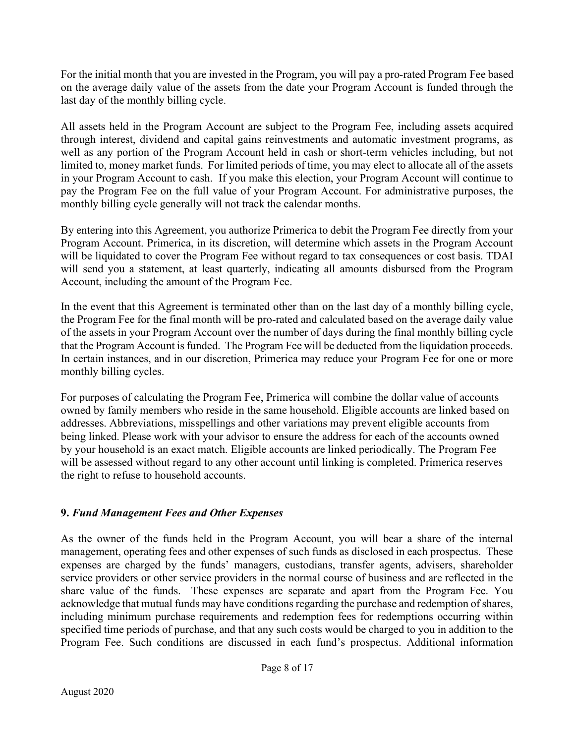For the initial month that you are invested in the Program, you will pay a pro-rated Program Fee based on the average daily value of the assets from the date your Program Account is funded through the last day of the monthly billing cycle.

All assets held in the Program Account are subject to the Program Fee, including assets acquired through interest, dividend and capital gains reinvestments and automatic investment programs, as well as any portion of the Program Account held in cash or short-term vehicles including, but not limited to, money market funds. For limited periods of time, you may elect to allocate all of the assets in your Program Account to cash. If you make this election, your Program Account will continue to pay the Program Fee on the full value of your Program Account. For administrative purposes, the monthly billing cycle generally will not track the calendar months.

By entering into this Agreement, you authorize Primerica to debit the Program Fee directly from your Program Account. Primerica, in its discretion, will determine which assets in the Program Account will be liquidated to cover the Program Fee without regard to tax consequences or cost basis. TDAI will send you a statement, at least quarterly, indicating all amounts disbursed from the Program Account, including the amount of the Program Fee.

In the event that this Agreement is terminated other than on the last day of a monthly billing cycle, the Program Fee for the final month will be pro-rated and calculated based on the average daily value of the assets in your Program Account over the number of days during the final monthly billing cycle that the Program Account is funded. The Program Fee will be deducted from the liquidation proceeds. In certain instances, and in our discretion, Primerica may reduce your Program Fee for one or more monthly billing cycles.

For purposes of calculating the Program Fee, Primerica will combine the dollar value of accounts owned by family members who reside in the same household. Eligible accounts are linked based on addresses. Abbreviations, misspellings and other variations may prevent eligible accounts from being linked. Please work with your advisor to ensure the address for each of the accounts owned by your household is an exact match. Eligible accounts are linked periodically. The Program Fee will be assessed without regard to any other account until linking is completed. Primerica reserves the right to refuse to household accounts.

# 9. Fund Management Fees and Other Expenses

As the owner of the funds held in the Program Account, you will bear a share of the internal management, operating fees and other expenses of such funds as disclosed in each prospectus. These expenses are charged by the funds' managers, custodians, transfer agents, advisers, shareholder service providers or other service providers in the normal course of business and are reflected in the share value of the funds. These expenses are separate and apart from the Program Fee. You acknowledge that mutual funds may have conditions regarding the purchase and redemption of shares, including minimum purchase requirements and redemption fees for redemptions occurring within specified time periods of purchase, and that any such costs would be charged to you in addition to the Program Fee. Such conditions are discussed in each fund's prospectus. Additional information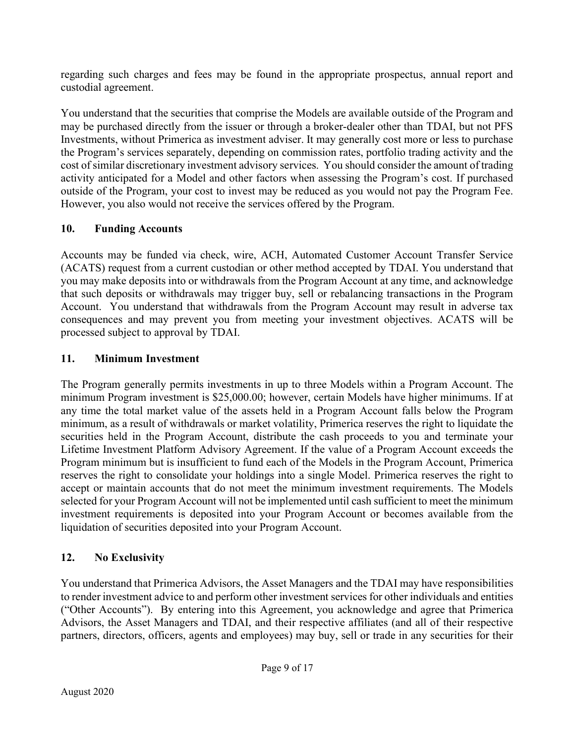regarding such charges and fees may be found in the appropriate prospectus, annual report and custodial agreement.

You understand that the securities that comprise the Models are available outside of the Program and may be purchased directly from the issuer or through a broker-dealer other than TDAI, but not PFS Investments, without Primerica as investment adviser. It may generally cost more or less to purchase the Program's services separately, depending on commission rates, portfolio trading activity and the cost of similar discretionary investment advisory services. You should consider the amount of trading activity anticipated for a Model and other factors when assessing the Program's cost. If purchased outside of the Program, your cost to invest may be reduced as you would not pay the Program Fee. However, you also would not receive the services offered by the Program.

# 10. Funding Accounts

Accounts may be funded via check, wire, ACH, Automated Customer Account Transfer Service (ACATS) request from a current custodian or other method accepted by TDAI. You understand that you may make deposits into or withdrawals from the Program Account at any time, and acknowledge that such deposits or withdrawals may trigger buy, sell or rebalancing transactions in the Program Account. You understand that withdrawals from the Program Account may result in adverse tax consequences and may prevent you from meeting your investment objectives. ACATS will be processed subject to approval by TDAI.

# 11. Minimum Investment

The Program generally permits investments in up to three Models within a Program Account. The minimum Program investment is \$25,000.00; however, certain Models have higher minimums. If at any time the total market value of the assets held in a Program Account falls below the Program minimum, as a result of withdrawals or market volatility, Primerica reserves the right to liquidate the securities held in the Program Account, distribute the cash proceeds to you and terminate your Lifetime Investment Platform Advisory Agreement. If the value of a Program Account exceeds the Program minimum but is insufficient to fund each of the Models in the Program Account, Primerica reserves the right to consolidate your holdings into a single Model. Primerica reserves the right to accept or maintain accounts that do not meet the minimum investment requirements. The Models selected for your Program Account will not be implemented until cash sufficient to meet the minimum investment requirements is deposited into your Program Account or becomes available from the liquidation of securities deposited into your Program Account.

# 12. No Exclusivity

You understand that Primerica Advisors, the Asset Managers and the TDAI may have responsibilities to render investment advice to and perform other investment services for other individuals and entities ("Other Accounts"). By entering into this Agreement, you acknowledge and agree that Primerica Advisors, the Asset Managers and TDAI, and their respective affiliates (and all of their respective partners, directors, officers, agents and employees) may buy, sell or trade in any securities for their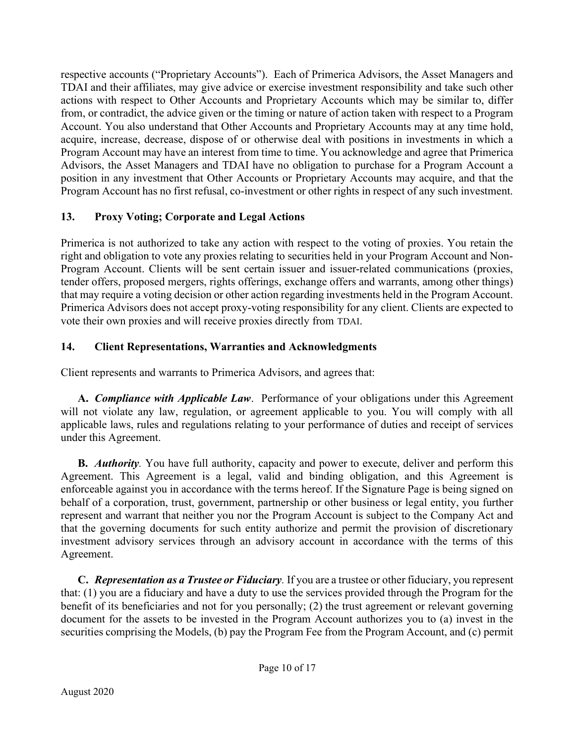respective accounts ("Proprietary Accounts"). Each of Primerica Advisors, the Asset Managers and TDAI and their affiliates, may give advice or exercise investment responsibility and take such other actions with respect to Other Accounts and Proprietary Accounts which may be similar to, differ from, or contradict, the advice given or the timing or nature of action taken with respect to a Program Account. You also understand that Other Accounts and Proprietary Accounts may at any time hold, acquire, increase, decrease, dispose of or otherwise deal with positions in investments in which a Program Account may have an interest from time to time. You acknowledge and agree that Primerica Advisors, the Asset Managers and TDAI have no obligation to purchase for a Program Account a position in any investment that Other Accounts or Proprietary Accounts may acquire, and that the Program Account has no first refusal, co-investment or other rights in respect of any such investment.

# 13. Proxy Voting; Corporate and Legal Actions

Primerica is not authorized to take any action with respect to the voting of proxies. You retain the right and obligation to vote any proxies relating to securities held in your Program Account and Non-Program Account. Clients will be sent certain issuer and issuer-related communications (proxies, tender offers, proposed mergers, rights offerings, exchange offers and warrants, among other things) that may require a voting decision or other action regarding investments held in the Program Account. Primerica Advisors does not accept proxy-voting responsibility for any client. Clients are expected to vote their own proxies and will receive proxies directly from TDAI.

# 14. Client Representations, Warranties and Acknowledgments

Client represents and warrants to Primerica Advisors, and agrees that:

A. Compliance with Applicable Law. Performance of your obligations under this Agreement will not violate any law, regulation, or agreement applicable to you. You will comply with all applicable laws, rules and regulations relating to your performance of duties and receipt of services under this Agreement.

**B.** *Authority*. You have full authority, capacity and power to execute, deliver and perform this Agreement. This Agreement is a legal, valid and binding obligation, and this Agreement is enforceable against you in accordance with the terms hereof. If the Signature Page is being signed on behalf of a corporation, trust, government, partnership or other business or legal entity, you further represent and warrant that neither you nor the Program Account is subject to the Company Act and that the governing documents for such entity authorize and permit the provision of discretionary investment advisory services through an advisory account in accordance with the terms of this Agreement.

C. Representation as a Trustee or Fiduciary. If you are a trustee or other fiduciary, you represent that: (1) you are a fiduciary and have a duty to use the services provided through the Program for the benefit of its beneficiaries and not for you personally; (2) the trust agreement or relevant governing document for the assets to be invested in the Program Account authorizes you to (a) invest in the securities comprising the Models, (b) pay the Program Fee from the Program Account, and (c) permit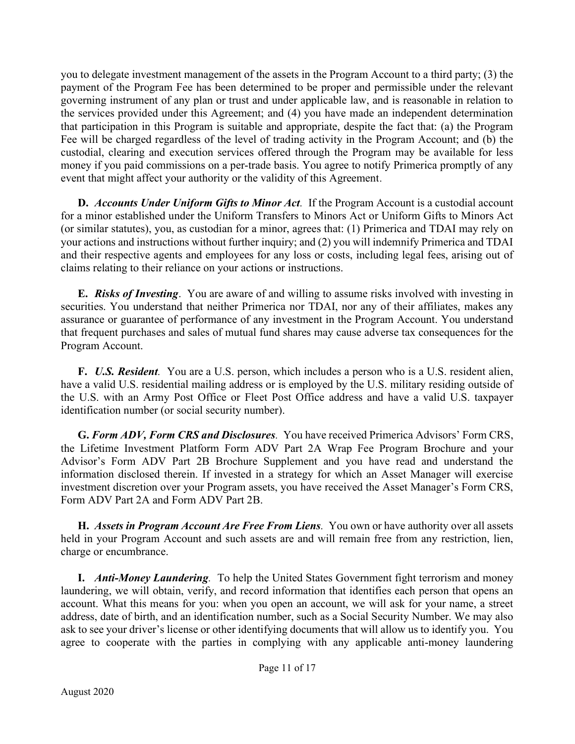you to delegate investment management of the assets in the Program Account to a third party; (3) the payment of the Program Fee has been determined to be proper and permissible under the relevant governing instrument of any plan or trust and under applicable law, and is reasonable in relation to the services provided under this Agreement; and (4) you have made an independent determination that participation in this Program is suitable and appropriate, despite the fact that: (a) the Program Fee will be charged regardless of the level of trading activity in the Program Account; and (b) the custodial, clearing and execution services offered through the Program may be available for less money if you paid commissions on a per-trade basis. You agree to notify Primerica promptly of any event that might affect your authority or the validity of this Agreement.

D. Accounts Under Uniform Gifts to Minor Act. If the Program Account is a custodial account for a minor established under the Uniform Transfers to Minors Act or Uniform Gifts to Minors Act (or similar statutes), you, as custodian for a minor, agrees that: (1) Primerica and TDAI may rely on your actions and instructions without further inquiry; and (2) you will indemnify Primerica and TDAI and their respective agents and employees for any loss or costs, including legal fees, arising out of claims relating to their reliance on your actions or instructions.

**E.** Risks of Investing. You are aware of and willing to assume risks involved with investing in securities. You understand that neither Primerica nor TDAI, nor any of their affiliates, makes any assurance or guarantee of performance of any investment in the Program Account. You understand that frequent purchases and sales of mutual fund shares may cause adverse tax consequences for the Program Account.

F. U.S. Resident. You are a U.S. person, which includes a person who is a U.S. resident alien, have a valid U.S. residential mailing address or is employed by the U.S. military residing outside of the U.S. with an Army Post Office or Fleet Post Office address and have a valid U.S. taxpayer identification number (or social security number).

G. Form ADV, Form CRS and Disclosures. You have received Primerica Advisors' Form CRS, the Lifetime Investment Platform Form ADV Part 2A Wrap Fee Program Brochure and your Advisor's Form ADV Part 2B Brochure Supplement and you have read and understand the information disclosed therein. If invested in a strategy for which an Asset Manager will exercise investment discretion over your Program assets, you have received the Asset Manager's Form CRS, Form ADV Part 2A and Form ADV Part 2B.

H. Assets in Program Account Are Free From Liens. You own or have authority over all assets held in your Program Account and such assets are and will remain free from any restriction, lien, charge or encumbrance.

**I.** Anti-Money Laundering. To help the United States Government fight terrorism and money laundering, we will obtain, verify, and record information that identifies each person that opens an account. What this means for you: when you open an account, we will ask for your name, a street address, date of birth, and an identification number, such as a Social Security Number. We may also ask to see your driver's license or other identifying documents that will allow us to identify you. You agree to cooperate with the parties in complying with any applicable anti-money laundering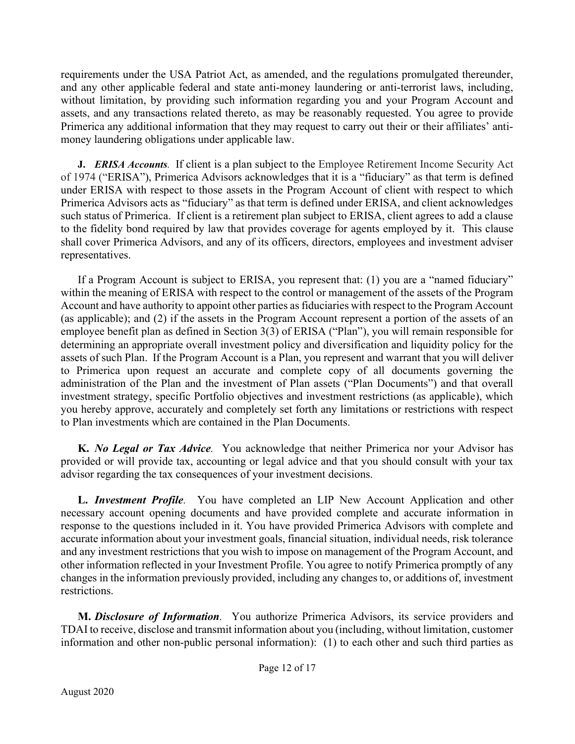requirements under the USA Patriot Act, as amended, and the regulations promulgated thereunder, and any other applicable federal and state anti-money laundering or anti-terrorist laws, including, without limitation, by providing such information regarding you and your Program Account and assets, and any transactions related thereto, as may be reasonably requested. You agree to provide Primerica any additional information that they may request to carry out their or their affiliates' antimoney laundering obligations under applicable law.

J. ERISA Accounts. If client is a plan subject to the Employee Retirement Income Security Act of 1974 ("ERISA"), Primerica Advisors acknowledges that it is a "fiduciary" as that term is defined under ERISA with respect to those assets in the Program Account of client with respect to which Primerica Advisors acts as "fiduciary" as that term is defined under ERISA, and client acknowledges such status of Primerica. If client is a retirement plan subject to ERISA, client agrees to add a clause to the fidelity bond required by law that provides coverage for agents employed by it. This clause shall cover Primerica Advisors, and any of its officers, directors, employees and investment adviser representatives.

If a Program Account is subject to ERISA, you represent that: (1) you are a "named fiduciary" within the meaning of ERISA with respect to the control or management of the assets of the Program Account and have authority to appoint other parties as fiduciaries with respect to the Program Account (as applicable); and (2) if the assets in the Program Account represent a portion of the assets of an employee benefit plan as defined in Section 3(3) of ERISA ("Plan"), you will remain responsible for determining an appropriate overall investment policy and diversification and liquidity policy for the assets of such Plan. If the Program Account is a Plan, you represent and warrant that you will deliver to Primerica upon request an accurate and complete copy of all documents governing the administration of the Plan and the investment of Plan assets ("Plan Documents") and that overall investment strategy, specific Portfolio objectives and investment restrictions (as applicable), which you hereby approve, accurately and completely set forth any limitations or restrictions with respect to Plan investments which are contained in the Plan Documents.

K. No Legal or Tax Advice. You acknowledge that neither Primerica nor your Advisor has provided or will provide tax, accounting or legal advice and that you should consult with your tax advisor regarding the tax consequences of your investment decisions.

L. Investment Profile. You have completed an LIP New Account Application and other necessary account opening documents and have provided complete and accurate information in response to the questions included in it. You have provided Primerica Advisors with complete and accurate information about your investment goals, financial situation, individual needs, risk tolerance and any investment restrictions that you wish to impose on management of the Program Account, and other information reflected in your Investment Profile. You agree to notify Primerica promptly of any changes in the information previously provided, including any changes to, or additions of, investment restrictions.

M. Disclosure of Information. You authorize Primerica Advisors, its service providers and TDAI to receive, disclose and transmit information about you (including, without limitation, customer information and other non-public personal information): (1) to each other and such third parties as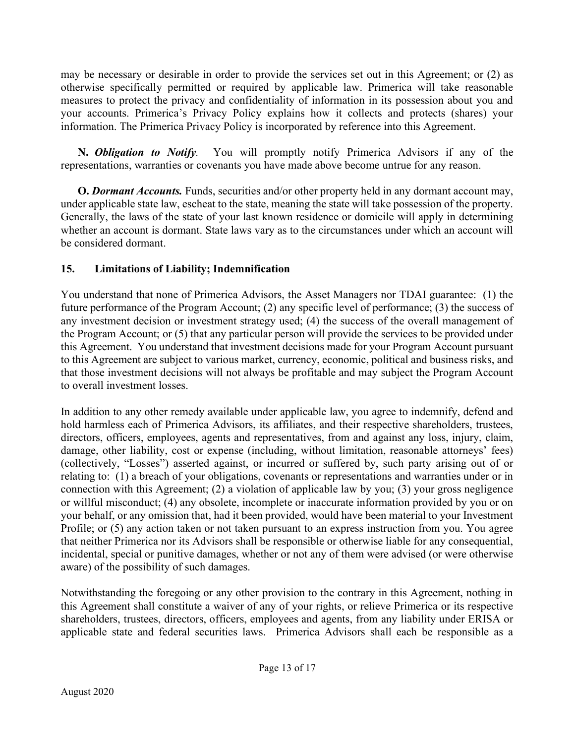may be necessary or desirable in order to provide the services set out in this Agreement; or (2) as otherwise specifically permitted or required by applicable law. Primerica will take reasonable measures to protect the privacy and confidentiality of information in its possession about you and your accounts. Primerica's Privacy Policy explains how it collects and protects (shares) your information. The Primerica Privacy Policy is incorporated by reference into this Agreement.

N. *Obligation to Notify*. You will promptly notify Primerica Advisors if any of the representations, warranties or covenants you have made above become untrue for any reason.

**O.** Dormant Accounts. Funds, securities and/or other property held in any dormant account may, under applicable state law, escheat to the state, meaning the state will take possession of the property. Generally, the laws of the state of your last known residence or domicile will apply in determining whether an account is dormant. State laws vary as to the circumstances under which an account will be considered dormant.

# 15. Limitations of Liability; Indemnification

You understand that none of Primerica Advisors, the Asset Managers nor TDAI guarantee: (1) the future performance of the Program Account; (2) any specific level of performance; (3) the success of any investment decision or investment strategy used; (4) the success of the overall management of the Program Account; or (5) that any particular person will provide the services to be provided under this Agreement. You understand that investment decisions made for your Program Account pursuant to this Agreement are subject to various market, currency, economic, political and business risks, and that those investment decisions will not always be profitable and may subject the Program Account to overall investment losses.

In addition to any other remedy available under applicable law, you agree to indemnify, defend and hold harmless each of Primerica Advisors, its affiliates, and their respective shareholders, trustees, directors, officers, employees, agents and representatives, from and against any loss, injury, claim, damage, other liability, cost or expense (including, without limitation, reasonable attorneys' fees) (collectively, "Losses") asserted against, or incurred or suffered by, such party arising out of or relating to: (1) a breach of your obligations, covenants or representations and warranties under or in connection with this Agreement; (2) a violation of applicable law by you; (3) your gross negligence or willful misconduct; (4) any obsolete, incomplete or inaccurate information provided by you or on your behalf, or any omission that, had it been provided, would have been material to your Investment Profile; or (5) any action taken or not taken pursuant to an express instruction from you. You agree that neither Primerica nor its Advisors shall be responsible or otherwise liable for any consequential, incidental, special or punitive damages, whether or not any of them were advised (or were otherwise aware) of the possibility of such damages.

Notwithstanding the foregoing or any other provision to the contrary in this Agreement, nothing in this Agreement shall constitute a waiver of any of your rights, or relieve Primerica or its respective shareholders, trustees, directors, officers, employees and agents, from any liability under ERISA or applicable state and federal securities laws. Primerica Advisors shall each be responsible as a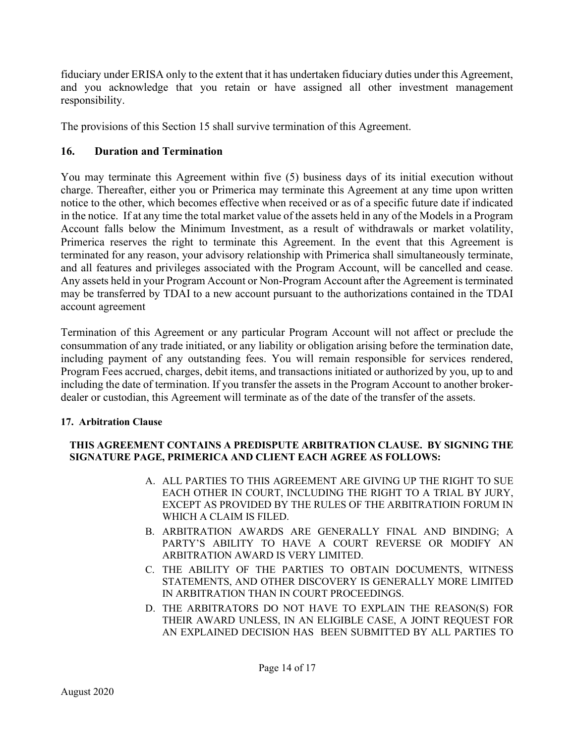fiduciary under ERISA only to the extent that it has undertaken fiduciary duties under this Agreement, and you acknowledge that you retain or have assigned all other investment management responsibility.

The provisions of this Section 15 shall survive termination of this Agreement.

# 16. Duration and Termination

You may terminate this Agreement within five (5) business days of its initial execution without charge. Thereafter, either you or Primerica may terminate this Agreement at any time upon written notice to the other, which becomes effective when received or as of a specific future date if indicated in the notice. If at any time the total market value of the assets held in any of the Models in a Program Account falls below the Minimum Investment, as a result of withdrawals or market volatility, Primerica reserves the right to terminate this Agreement. In the event that this Agreement is terminated for any reason, your advisory relationship with Primerica shall simultaneously terminate, and all features and privileges associated with the Program Account, will be cancelled and cease. Any assets held in your Program Account or Non-Program Account after the Agreement is terminated may be transferred by TDAI to a new account pursuant to the authorizations contained in the TDAI account agreement

Termination of this Agreement or any particular Program Account will not affect or preclude the consummation of any trade initiated, or any liability or obligation arising before the termination date, including payment of any outstanding fees. You will remain responsible for services rendered, Program Fees accrued, charges, debit items, and transactions initiated or authorized by you, up to and including the date of termination. If you transfer the assets in the Program Account to another brokerdealer or custodian, this Agreement will terminate as of the date of the transfer of the assets.

# 17. Arbitration Clause

### THIS AGREEMENT CONTAINS A PREDISPUTE ARBITRATION CLAUSE. BY SIGNING THE SIGNATURE PAGE, PRIMERICA AND CLIENT EACH AGREE AS FOLLOWS:

- A. ALL PARTIES TO THIS AGREEMENT ARE GIVING UP THE RIGHT TO SUE EACH OTHER IN COURT, INCLUDING THE RIGHT TO A TRIAL BY JURY, EXCEPT AS PROVIDED BY THE RULES OF THE ARBITRATIOIN FORUM IN WHICH A CLAIM IS FILED.
- B. ARBITRATION AWARDS ARE GENERALLY FINAL AND BINDING; A PARTY'S ABILITY TO HAVE A COURT REVERSE OR MODIFY AN ARBITRATION AWARD IS VERY LIMITED.
- C. THE ABILITY OF THE PARTIES TO OBTAIN DOCUMENTS, WITNESS STATEMENTS, AND OTHER DISCOVERY IS GENERALLY MORE LIMITED IN ARBITRATION THAN IN COURT PROCEEDINGS.
- D. THE ARBITRATORS DO NOT HAVE TO EXPLAIN THE REASON(S) FOR THEIR AWARD UNLESS, IN AN ELIGIBLE CASE, A JOINT REQUEST FOR AN EXPLAINED DECISION HAS BEEN SUBMITTED BY ALL PARTIES TO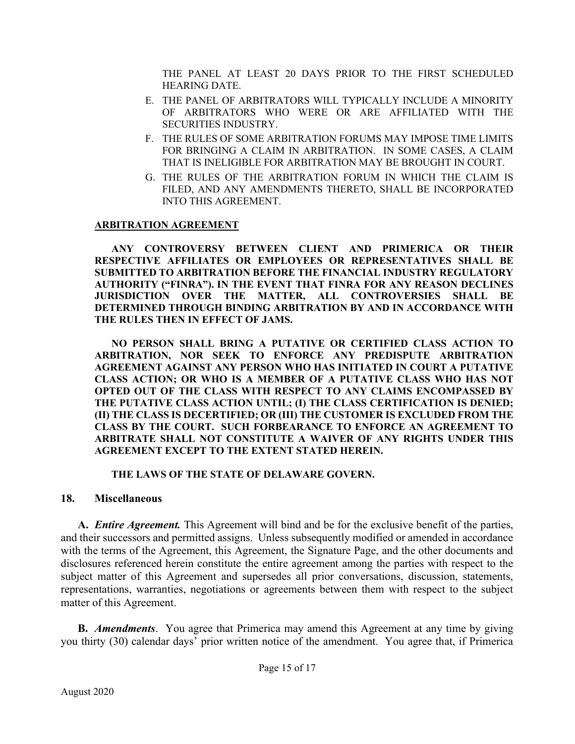THE PANEL AT LEAST 20 DAYS PRIOR TO THE FIRST SCHEDULED HEARING DATE.

- E. THE PANEL OF ARBITRATORS WILL TYPICALLY INCLUDE A MINORITY OF ARBITRATORS WHO WERE OR ARE AFFILIATED WITH THE SECURITIES INDUSTRY.
- F. THE RULES OF SOME ARBITRATION FORUMS MAY IMPOSE TIME LIMITS FOR BRINGING A CLAIM IN ARBITRATION. IN SOME CASES, A CLAIM THAT IS INELIGIBLE FOR ARBITRATION MAY BE BROUGHT IN COURT.
- G. THE RULES OF THE ARBITRATION FORUM IN WHICH THE CLAIM IS FILED, AND ANY AMENDMENTS THERETO, SHALL BE INCORPORATED INTO THIS AGREEMENT.

#### ARBITRATION AGREEMENT

ANY CONTROVERSY BETWEEN CLIENT AND PRIMERICA OR THEIR RESPECTIVE AFFILIATES OR EMPLOYEES OR REPRESENTATIVES SHALL BE SUBMITTED TO ARBITRATION BEFORE THE FINANCIAL INDUSTRY REGULATORY AUTHORITY ("FINRA"). IN THE EVENT THAT FINRA FOR ANY REASON DECLINES JURISDICTION OVER THE MATTER, ALL CONTROVERSIES SHALL BE DETERMINED THROUGH BINDING ARBITRATION BY AND IN ACCORDANCE WITH THE RULES THEN IN EFFECT OF JAMS.

NO PERSON SHALL BRING A PUTATIVE OR CERTIFIED CLASS ACTION TO ARBITRATION, NOR SEEK TO ENFORCE ANY PREDISPUTE ARBITRATION AGREEMENT AGAINST ANY PERSON WHO HAS INITIATED IN COURT A PUTATIVE CLASS ACTION; OR WHO IS A MEMBER OF A PUTATIVE CLASS WHO HAS NOT OPTED OUT OF THE CLASS WITH RESPECT TO ANY CLAIMS ENCOMPASSED BY THE PUTATIVE CLASS ACTION UNTIL; (I) THE CLASS CERTIFICATION IS DENIED; (II) THE CLASS IS DECERTIFIED; OR (III) THE CUSTOMER IS EXCLUDED FROM THE CLASS BY THE COURT. SUCH FORBEARANCE TO ENFORCE AN AGREEMENT TO ARBITRATE SHALL NOT CONSTITUTE A WAIVER OF ANY RIGHTS UNDER THIS AGREEMENT EXCEPT TO THE EXTENT STATED HEREIN.

#### THE LAWS OF THE STATE OF DELAWARE GOVERN.

#### 18. Miscellaneous

A. *Entire Agreement*. This Agreement will bind and be for the exclusive benefit of the parties, and their successors and permitted assigns. Unless subsequently modified or amended in accordance with the terms of the Agreement, this Agreement, the Signature Page, and the other documents and disclosures referenced herein constitute the entire agreement among the parties with respect to the subject matter of this Agreement and supersedes all prior conversations, discussion, statements, representations, warranties, negotiations or agreements between them with respect to the subject matter of this Agreement.

**B.** Amendments. You agree that Primerica may amend this Agreement at any time by giving you thirty (30) calendar days' prior written notice of the amendment. You agree that, if Primerica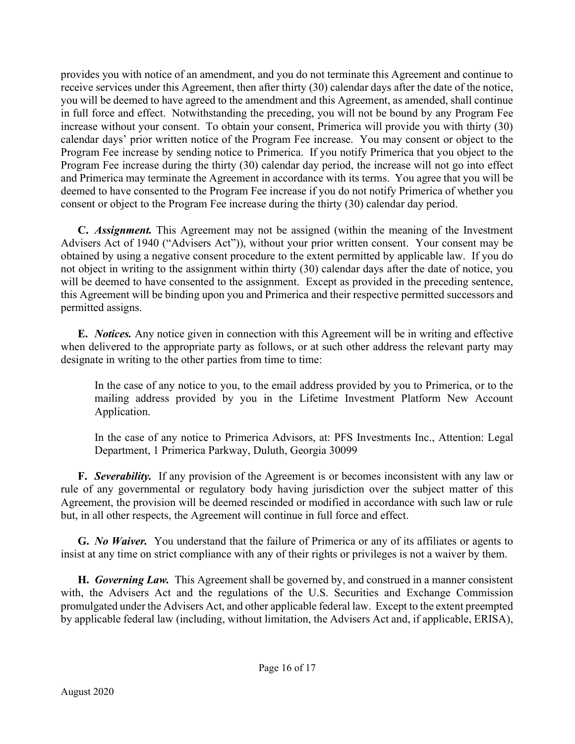provides you with notice of an amendment, and you do not terminate this Agreement and continue to receive services under this Agreement, then after thirty (30) calendar days after the date of the notice, you will be deemed to have agreed to the amendment and this Agreement, as amended, shall continue in full force and effect. Notwithstanding the preceding, you will not be bound by any Program Fee increase without your consent. To obtain your consent, Primerica will provide you with thirty (30) calendar days' prior written notice of the Program Fee increase. You may consent or object to the Program Fee increase by sending notice to Primerica. If you notify Primerica that you object to the Program Fee increase during the thirty (30) calendar day period, the increase will not go into effect and Primerica may terminate the Agreement in accordance with its terms. You agree that you will be deemed to have consented to the Program Fee increase if you do not notify Primerica of whether you consent or object to the Program Fee increase during the thirty (30) calendar day period.

C. Assignment. This Agreement may not be assigned (within the meaning of the Investment Advisers Act of 1940 ("Advisers Act")), without your prior written consent. Your consent may be obtained by using a negative consent procedure to the extent permitted by applicable law. If you do not object in writing to the assignment within thirty (30) calendar days after the date of notice, you will be deemed to have consented to the assignment. Except as provided in the preceding sentence, this Agreement will be binding upon you and Primerica and their respective permitted successors and permitted assigns.

E. Notices. Any notice given in connection with this Agreement will be in writing and effective when delivered to the appropriate party as follows, or at such other address the relevant party may designate in writing to the other parties from time to time:

In the case of any notice to you, to the email address provided by you to Primerica, or to the mailing address provided by you in the Lifetime Investment Platform New Account Application.

In the case of any notice to Primerica Advisors, at: PFS Investments Inc., Attention: Legal Department, 1 Primerica Parkway, Duluth, Georgia 30099

F. Severability. If any provision of the Agreement is or becomes inconsistent with any law or rule of any governmental or regulatory body having jurisdiction over the subject matter of this Agreement, the provision will be deemed rescinded or modified in accordance with such law or rule but, in all other respects, the Agreement will continue in full force and effect.

G. *No Waiver*. You understand that the failure of Primerica or any of its affiliates or agents to insist at any time on strict compliance with any of their rights or privileges is not a waiver by them.

H. Governing Law. This Agreement shall be governed by, and construed in a manner consistent with, the Advisers Act and the regulations of the U.S. Securities and Exchange Commission promulgated under the Advisers Act, and other applicable federal law. Except to the extent preempted by applicable federal law (including, without limitation, the Advisers Act and, if applicable, ERISA),